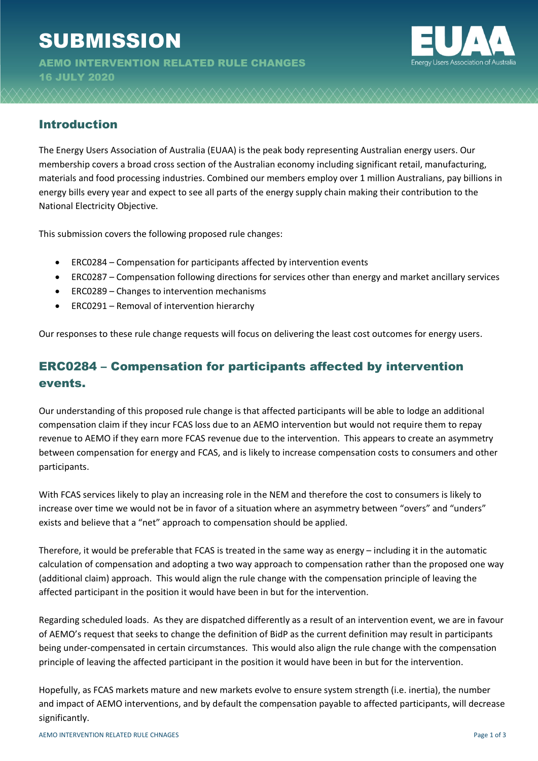# **SUBMISSION**

AEMO INTERVENTION RELATED RULE CHANGES 16 JULY 2020



#### Introduction

The Energy Users Association of Australia (EUAA) is the peak body representing Australian energy users. Our membership covers a broad cross section of the Australian economy including significant retail, manufacturing, materials and food processing industries. Combined our members employ over 1 million Australians, pay billions in energy bills every year and expect to see all parts of the energy supply chain making their contribution to the National Electricity Objective.

This submission covers the following proposed rule changes:

- ERC0284 Compensation for participants affected by intervention events
- ERC0287 Compensation following directions for services other than energy and market ancillary services
- ERC0289 Changes to intervention mechanisms
- ERC0291 Removal of intervention hierarchy

Our responses to these rule change requests will focus on delivering the least cost outcomes for energy users.

## ERC0284 – Compensation for participants affected by intervention events.

Our understanding of this proposed rule change is that affected participants will be able to lodge an additional compensation claim if they incur FCAS loss due to an AEMO intervention but would not require them to repay revenue to AEMO if they earn more FCAS revenue due to the intervention. This appears to create an asymmetry between compensation for energy and FCAS, and is likely to increase compensation costs to consumers and other participants.

With FCAS services likely to play an increasing role in the NEM and therefore the cost to consumers is likely to increase over time we would not be in favor of a situation where an asymmetry between "overs" and "unders" exists and believe that a "net" approach to compensation should be applied.

Therefore, it would be preferable that FCAS is treated in the same way as energy – including it in the automatic calculation of compensation and adopting a two way approach to compensation rather than the proposed one way (additional claim) approach. This would align the rule change with the compensation principle of leaving the affected participant in the position it would have been in but for the intervention.

Regarding scheduled loads. As they are dispatched differently as a result of an intervention event, we are in favour of AEMO's request that seeks to change the definition of BidP as the current definition may result in participants being under-compensated in certain circumstances. This would also align the rule change with the compensation principle of leaving the affected participant in the position it would have been in but for the intervention.

Hopefully, as FCAS markets mature and new markets evolve to ensure system strength (i.e. inertia), the number and impact of AEMO interventions, and by default the compensation payable to affected participants, will decrease significantly.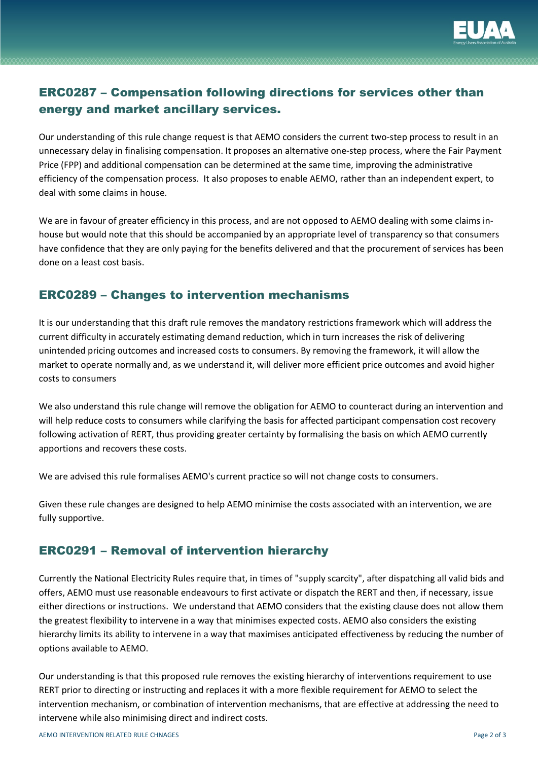

## ERC0287 – Compensation following directions for services other than energy and market ancillary services.

Our understanding of this rule change request is that AEMO considers the current two-step process to result in an unnecessary delay in finalising compensation. It proposes an alternative one-step process, where the Fair Payment Price (FPP) and additional compensation can be determined at the same time, improving the administrative efficiency of the compensation process. It also proposes to enable AEMO, rather than an independent expert, to deal with some claims in house.

We are in favour of greater efficiency in this process, and are not opposed to AEMO dealing with some claims inhouse but would note that this should be accompanied by an appropriate level of transparency so that consumers have confidence that they are only paying for the benefits delivered and that the procurement of services has been done on a least cost basis.

#### ERC0289 – Changes to intervention mechanisms

It is our understanding that this draft rule removes the mandatory restrictions framework which will address the current difficulty in accurately estimating demand reduction, which in turn increases the risk of delivering unintended pricing outcomes and increased costs to consumers. By removing the framework, it will allow the market to operate normally and, as we understand it, will deliver more efficient price outcomes and avoid higher costs to consumers

We also understand this rule change will remove the obligation for AEMO to counteract during an intervention and will help reduce costs to consumers while clarifying the basis for affected participant compensation cost recovery following activation of RERT, thus providing greater certainty by formalising the basis on which AEMO currently apportions and recovers these costs.

We are advised this rule formalises AEMO's current practice so will not change costs to consumers.

Given these rule changes are designed to help AEMO minimise the costs associated with an intervention, we are fully supportive.

### ERC0291 – Removal of intervention hierarchy

Currently the National Electricity Rules require that, in times of "supply scarcity", after dispatching all valid bids and offers, AEMO must use reasonable endeavours to first activate or dispatch the RERT and then, if necessary, issue either directions or instructions. We understand that AEMO considers that the existing clause does not allow them the greatest flexibility to intervene in a way that minimises expected costs. AEMO also considers the existing hierarchy limits its ability to intervene in a way that maximises anticipated effectiveness by reducing the number of options available to AEMO.

Our understanding is that this proposed rule removes the existing hierarchy of interventions requirement to use RERT prior to directing or instructing and replaces it with a more flexible requirement for AEMO to select the intervention mechanism, or combination of intervention mechanisms, that are effective at addressing the need to intervene while also minimising direct and indirect costs.